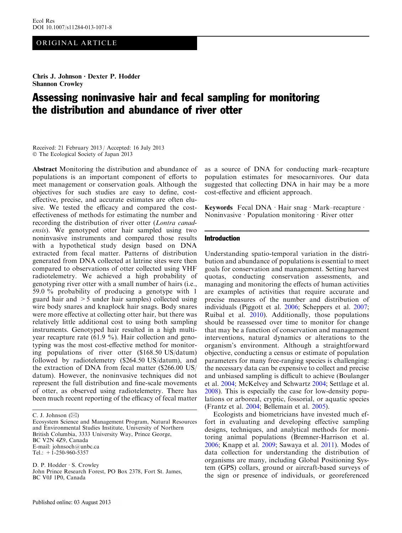# ORIGINAL ARTICLE

Chris J. Johnson • Dexter P. Hodder Shannon Crowley

# Assessing noninvasive hair and fecal sampling for monitoring the distribution and abundance of river otter

Received: 21 February 2013 / Accepted: 16 July 2013 - The Ecological Society of Japan 2013

Abstract Monitoring the distribution and abundance of populations is an important component of efforts to meet management or conservation goals. Although the objectives for such studies are easy to define, costeffective, precise, and accurate estimates are often elusive. We tested the efficacy and compared the costeffectiveness of methods for estimating the number and recording the distribution of river otter (Lontra canadensis). We genotyped otter hair sampled using two noninvasive instruments and compared those results with a hypothetical study design based on DNA extracted from fecal matter. Patterns of distribution generated from DNA collected at latrine sites were then compared to observations of otter collected using VHF radiotelemetry. We achieved a high probability of genotyping river otter with a small number of hairs (i.e., 59.0 % probability of producing a genotype with 1 guard hair and >5 under hair samples) collected using wire body snares and knaplock hair snags. Body snares were more effective at collecting otter hair, but there was relatively little additional cost to using both sampling instruments. Genotyped hair resulted in a high multiyear recapture rate (61.9 %). Hair collection and genotyping was the most cost-effective method for monitoring populations of river otter (\$168.50 US/datum) followed by radiotelemetry (\$264.50 US/datum), and the extraction of DNA from fecal matter (\$266.00 US/ datum). However, the noninvasive techniques did not represent the full distribution and fine-scale movements of otter, as observed using radiotelemetry. There has been much recent reporting of the efficacy of fecal matter

Ecosystem Science and Management Program, Natural Resources and Environmental Studies Institute, University of Northern British Columbia, 3333 University Way, Prince George, BC V2N 4Z9, Canada E-mail: johnsoch@unbc.ca Tel.:  $+1-250-960-5357$ 

D. P. Hodder · S. Crowley John Prince Research Forest, PO Box 2378, Fort St. James, BC V0J 1P0, Canada

as a source of DNA for conducting mark–recapture population estimates for mesocarnivores. Our data suggested that collecting DNA in hair may be a more cost-effective and efficient approach.

Keywords Fecal DNA  $\cdot$  Hair snag  $\cdot$  Mark–recapture  $\cdot$ Noninvasive Bopulation monitoring River otter

# Introduction

Understanding spatio-temporal variation in the distribution and abundance of populations is essential to meet goals for conservation and management. Setting harvest quotas, conducting conservation assessments, and managing and monitoring the effects of human activities are examples of activities that require accurate and precise measures of the number and distribution of individuals (Piggott et al. [2006;](#page-10-0) Scheppers et al. [2007](#page-11-0); Ruibal et al. [2010](#page-11-0)). Additionally, those populations should be reassessed over time to monitor for change that may be a function of conservation and management interventions, natural dynamics or alterations to the organism's environment. Although a straightforward objective, conducting a census or estimate of population parameters for many free-ranging species is challenging: the necessary data can be expensive to collect and precise and unbiased sampling is difficult to achieve (Boulanger et al. [2004;](#page-10-0) McKelvey and Schwartz [2004](#page-10-0); Settlage et al. [2008\)](#page-11-0). This is especially the case for low-density populations or arboreal, cryptic, fossorial, or aquatic species (Frantz et al. [2004;](#page-10-0) Bellemain et al. [2005\)](#page-10-0).

Ecologists and biometricians have invested much effort in evaluating and developing effective sampling designs, techniques, and analytical methods for monitoring animal populations (Bremner-Harrison et al. [2006;](#page-10-0) Knapp et al. [2009](#page-10-0); Sawaya et al. [2011\)](#page-11-0). Modes of data collection for understanding the distribution of organisms are many, including Global Positioning System (GPS) collars, ground or aircraft-based surveys of the sign or presence of individuals, or georeferenced

C. J. Johnson  $(\boxtimes)$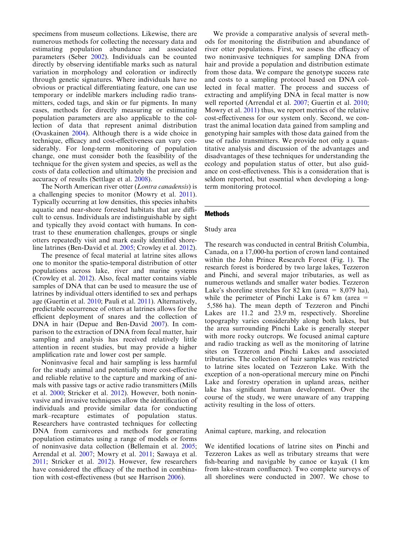<span id="page-1-0"></span>specimens from museum collections. Likewise, there are numerous methods for collecting the necessary data and estimating population abundance and associated parameters (Seber [2002](#page-11-0)). Individuals can be counted directly by observing identifiable marks such as natural variation in morphology and coloration or indirectly through genetic signatures. Where individuals have no obvious or practical differentiating feature, one can use temporary or indelible markers including radio transmitters, coded tags, and skin or fur pigments. In many cases, methods for directly measuring or estimating population parameters are also applicable to the collection of data that represent animal distribution (Ovaskainen [2004\)](#page-10-0). Although there is a wide choice in technique, efficacy and cost-effectiveness can vary considerably. For long-term monitoring of population change, one must consider both the feasibility of the technique for the given system and species, as well as the costs of data collection and ultimately the precision and accuracy of results (Settlage et al. [2008\)](#page-11-0).

The North American river otter (Lontra canadensis) is a challenging species to monitor (Mowry et al. [2011\)](#page-10-0). Typically occurring at low densities, this species inhabits aquatic and near-shore forested habitats that are difficult to census. Individuals are indistinguishable by sight and typically they avoid contact with humans. In contrast to these enumeration challenges, groups or single otters repeatedly visit and mark easily identified shoreline latrines (Ben-David et al. [2005;](#page-10-0) Crowley et al. [2012\)](#page-10-0).

The presence of fecal material at latrine sites allows one to monitor the spatio-temporal distribution of otter populations across lake, river and marine systems (Crowley et al. [2012](#page-10-0)). Also, fecal matter contains viable samples of DNA that can be used to measure the use of latrines by individual otters identified to sex and perhaps age (Guertin et al. [2010;](#page-10-0) Pauli et al. [2011\)](#page-10-0). Alternatively, predictable occurrence of otters at latrines allows for the efficient deployment of snares and the collection of DNA in hair (Depue and Ben-David [2007](#page-10-0)). In comparison to the extraction of DNA from fecal matter, hair sampling and analysis has received relatively little attention in recent studies, but may provide a higher amplification rate and lower cost per sample.

Noninvasive fecal and hair sampling is less harmful for the study animal and potentially more cost-effective and reliable relative to the capture and marking of animals with passive tags or active radio transmitters (Mills et al. [2000](#page-10-0); Stricker et al. [2012](#page-11-0)). However, both noninvasive and invasive techniques allow the identification of individuals and provide similar data for conducting mark–recapture estimates of population status. Researchers have contrasted techniques for collecting DNA from carnivores and methods for generating population estimates using a range of models or forms of noninvasive data collection (Bellemain et al. [2005](#page-10-0); Arrendal et al. [2007](#page-10-0); Mowry et al. [2011](#page-10-0); Sawaya et al. [2011](#page-11-0); Stricker et al. [2012](#page-11-0)). However, few researchers have considered the efficacy of the method in combination with cost-effectiveness (but see Harrison [2006\)](#page-10-0).

We provide a comparative analysis of several methods for monitoring the distribution and abundance of river otter populations. First, we assess the efficacy of two noninvasive techniques for sampling DNA from hair and provide a population and distribution estimate from those data. We compare the genotype success rate and costs to a sampling protocol based on DNA collected in fecal matter. The process and success of extracting and amplifying DNA in fecal matter is now well reported (Arrendal et al. [2007](#page-10-0); Guertin et al. [2010](#page-10-0); Mowry et al. [2011](#page-10-0)) thus, we report metrics of the relative cost-effectiveness for our system only. Second, we contrast the animal location data gained from sampling and genotyping hair samples with those data gained from the use of radio transmitters. We provide not only a quantitative analysis and discussion of the advantages and disadvantages of these techniques for understanding the ecology and population status of otter, but also guidance on cost-effectiveness. This is a consideration that is seldom reported, but essential when developing a longterm monitoring protocol.

## Methods

## Study area

The research was conducted in central British Columbia, Canada, on a 17,000-ha portion of crown land contained within the John Prince Research Forest (Fig. [1](#page-2-0)). The research forest is bordered by two large lakes, Tezzeron and Pinchi, and several major tributaries, as well as numerous wetlands and smaller water bodies. Tezzeron Lake's shoreline stretches for 82 km (area =  $8,079$  ha), while the perimeter of Pinchi Lake is  $67 \text{ km}$  (area = 5,586 ha). The mean depth of Tezzeron and Pinchi Lakes are 11.2 and 23.9 m, respectively. Shoreline topography varies considerably along both lakes, but the area surrounding Pinchi Lake is generally steeper with more rocky outcrops. We focused animal capture and radio tracking as well as the monitoring of latrine sites on Tezzeron and Pinchi Lakes and associated tributaries. The collection of hair samples was restricted to latrine sites located on Tezzeron Lake. With the exception of a non-operational mercury mine on Pinchi Lake and forestry operation in upland areas, neither lake has significant human development. Over the course of the study, we were unaware of any trapping activity resulting in the loss of otters.

Animal capture, marking, and relocation

We identified locations of latrine sites on Pinchi and Tezzeron Lakes as well as tributary streams that were fish-bearing and navigable by canoe or kayak (1 km from lake-stream confluence). Two complete surveys of all shorelines were conducted in 2007. We chose to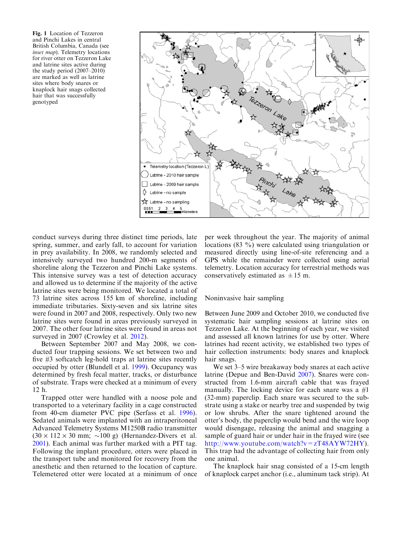<span id="page-2-0"></span>Fig. 1 Location of Tezzeron and Pinchi Lakes in central British Columbia, Canada (see inset map). Telemetry locations for river otter on Tezzeron Lake and latrine sites active during the study period (2007–2010) are marked as well as latrine sites where body snares or knaplock hair snags collected hair that was successfully genotyped



conduct surveys during three distinct time periods, late spring, summer, and early fall, to account for variation in prey availability. In 2008, we randomly selected and intensively surveyed two hundred 200-m segments of shoreline along the Tezzeron and Pinchi Lake systems. This intensive survey was a test of detection accuracy and allowed us to determine if the majority of the active latrine sites were being monitored. We located a total of 73 latrine sites across 155 km of shoreline, including immediate tributaries. Sixty-seven and six latrine sites were found in 2007 and 2008, respectively. Only two new latrine sites were found in areas previously surveyed in 2007. The other four latrine sites were found in areas not surveyed in 2007 (Crowley et al. [2012\)](#page-10-0).

Between September 2007 and May 2008, we conducted four trapping sessions. We set between two and five #3 softcatch leg-hold traps at latrine sites recently occupied by otter (Blundell et al. [1999](#page-10-0)). Occupancy was determined by fresh fecal matter, tracks, or disturbance of substrate. Traps were checked at a minimum of every 12 h.

Trapped otter were handled with a noose pole and transported to a veterinary facility in a cage constructed from 40-cm diameter PVC pipe (Serfass et al. [1996\)](#page-11-0). Sedated animals were implanted with an intraperitoneal Advanced Telemetry Systems M1250B radio transmitter  $(30 \times 112 \times 30 \text{ mm}; \sim 100 \text{ g})$  (Hernandez-Divers et al. [2001](#page-10-0)). Each animal was further marked with a PIT tag. Following the implant procedure, otters were placed in the transport tube and monitored for recovery from the anesthetic and then returned to the location of capture. Telemetered otter were located at a minimum of once per week throughout the year. The majority of animal locations (83 %) were calculated using triangulation or measured directly using line-of-site referencing and a GPS while the remainder were collected using aerial telemetry. Location accuracy for terrestrial methods was conservatively estimated as  $\pm 15$  m.

#### Noninvasive hair sampling

Between June 2009 and October 2010, we conducted five systematic hair sampling sessions at latrine sites on Tezzeron Lake. At the beginning of each year, we visited and assessed all known latrines for use by otter. Where latrines had recent activity, we established two types of hair collection instruments: body snares and knaplock hair snags.

We set 3–5 wire breakaway body snares at each active latrine (Depue and Ben-David [2007\)](#page-10-0). Snares were constructed from 1.6-mm aircraft cable that was frayed manually. The locking device for each snare was a  $#1$ (32-mm) paperclip. Each snare was secured to the substrate using a stake or nearby tree and suspended by twig or low shrubs. After the snare tightened around the otter's body, the paperclip would bend and the wire loop would disengage, releasing the animal and snagging a sample of guard hair or under hair in the frayed wire (see <http://www.youtube.com/watch?v=zT48AYW72HY>). This trap had the advantage of collecting hair from only one animal.

The knaplock hair snag consisted of a 15-cm length of knaplock carpet anchor (i.e., aluminum tack strip). At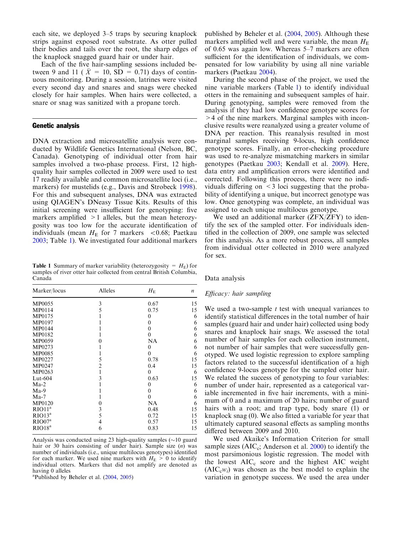each site, we deployed 3–5 traps by securing knaplock strips against exposed root substrate. As otter pulled their bodies and tails over the root, the sharp edges of the knaplock snagged guard hair or under hair.

Each of the five hair-sampling sessions included between 9 and 11 ( $\overline{X} = 10$ ,  $\overline{SD} = 0.71$ ) days of continuous monitoring. During a session, latrines were visited every second day and snares and snags were checked closely for hair samples. When hairs were collected, a snare or snag was sanitized with a propane torch.

## Genetic analysis

DNA extraction and microsatellite analysis were conducted by Wildlife Genetics International (Nelson, BC, Canada). Genotyping of individual otter from hair samples involved a two-phase process. First, 12 highquality hair samples collected in 2009 were used to test 17 readily available and common microsatellite loci (i.e., markers) for mustelids (e.g., Davis and Strobeck [1998\)](#page-10-0). For this and subsequent analyses, DNA was extracted using QIAGEN's DNeasy Tissue Kits. Results of this initial screening were insufficient for genotyping: five markers amplified >1 alleles, but the mean heterozygosity was too low for the accurate identification of individuals (mean  $H<sub>E</sub>$  for 7 markers <0.68; Paetkau [2003](#page-10-0); Table 1). We investigated four additional markers

**Table 1** Summary of marker variability (heterozygosity =  $H_F$ ) for samples of river otter hair collected from central British Columbia, Canada

| Marker/locus       | Alleles | $H_{\rm E}$ | n  |
|--------------------|---------|-------------|----|
| MP0055             | 3       | 0.67        | 15 |
| MP0114             | 5       | 0.75        | 15 |
| MP0175             |         | 0           | 6  |
| MP0197             |         | 0           | 6  |
| MP0144             |         | 0           | 6  |
| MP0182             |         | 0           | 6  |
| MP0059             | 0       | NA          | 6  |
| MP0273             |         | 0           | 6  |
| <b>MP0085</b>      |         | 0           | 6  |
| MP0227             | 5       | 0.78        | 15 |
| MP0247             | 2       | 0.4         | 15 |
| MP0263             | 1       | 0           | 6  |
| $Lut-604$          | 3       | 0.63        | 15 |
| $Ma-2$             |         | 0           | 6  |
| $Ma-9$             |         | 0           | 6  |
| $Ma-7$             |         | 0           | 6  |
| MP0120             | 0       | NA          | 6  |
| RIO11 <sup>a</sup> | 3       | 0.48        | 15 |
| RIO13 <sup>a</sup> | 5       | 0.72        | 15 |
| RIO07 <sup>a</sup> | 4       | 0.57        | 15 |
| RIO18 <sup>a</sup> | 6       | 0.83        | 15 |

Analysis was conducted using 23 high-quality samples  $(\sim]10$  guard hair or 30 hairs consisting of under hair). Sample size  $(n)$  was number of individuals (i.e., unique multilocus genotypes) identified for each marker. We used nine markers with  $H_{\rm E} > 0$  to identify individual otters. Markers that did not amplify are denoted as having 0 alleles

<sup>a</sup>Published by Beheler et al. ([2004,](#page-10-0) [2005\)](#page-10-0)

published by Beheler et al. [\(2004,](#page-10-0) [2005\)](#page-10-0). Although these markers amplified well and were variable, the mean  $H<sub>E</sub>$ of 0.65 was again low. Whereas 5–7 markers are often sufficient for the identification of individuals, we compensated for low variability by using all nine variable markers (Paetkau [2004](#page-10-0)).

During the second phase of the project, we used the nine variable markers (Table 1) to identify individual otters in the remaining and subsequent samples of hair. During genotyping, samples were removed from the analysis if they had low confidence genotype scores for >4 of the nine markers. Marginal samples with inconclusive results were reanalyzed using a greater volume of DNA per reaction. This reanalysis resulted in most marginal samples receiving 9-locus, high confidence genotype scores. Finally, an error-checking procedure was used to re-analyze mismatching markers in similar genotypes (Paetkau [2003;](#page-10-0) Kendall et al. [2009\)](#page-10-0). Here, data entry and amplification errors were identified and corrected. Following this process, there were no individuals differing on  $\leq$  3 loci suggesting that the probability of identifying a unique, but incorrect genotype was low. Once genotyping was complete, an individual was assigned to each unique multilocus genotype.

We used an additional marker (ZFX/ZFY) to identify the sex of the sampled otter. For individuals identified in the collection of 2009, one sample was selected for this analysis. As a more robust process, all samples from individual otter collected in 2010 were analyzed for sex.

#### Data analysis

## Efficacy: hair sampling

We used a two-sample  $t$  test with unequal variances to identify statistical differences in the total number of hair samples (guard hair and under hair) collected using body snares and knaplock hair snags. We assessed the total number of hair samples for each collection instrument, not number of hair samples that were successfully genotyped. We used logistic regression to explore sampling factors related to the successful identification of a high confidence 9-locus genotype for the sampled otter hair. We related the success of genotyping to four variables: number of under hair, represented as a categorical variable incremented in five hair increments, with a minimum of 0 and a maximum of 20 hairs; number of guard hairs with a root; and trap type, body snare (1) or knaplock snag (0). We also fitted a variable for year that ultimately captured seasonal effects as sampling months differed between 2009 and 2010.

We used Akaike's Information Criterion for small sample sizes (AIC<sub>c</sub>; Anderson et al. [2000\)](#page-10-0) to identify the most parsimonious logistic regression. The model with the lowest  $AIC_c$  score and the highest  $AIC$  weight  $(AIC<sub>c</sub>w<sub>i</sub>)$  was chosen as the best model to explain the variation in genotype success. We used the area under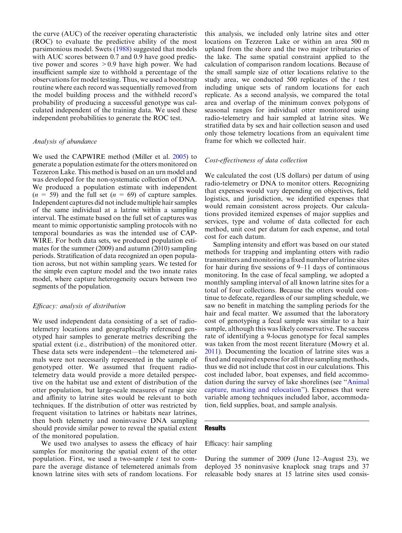the curve (AUC) of the receiver operating characteristic (ROC) to evaluate the predictive ability of the most parsimonious model. Swets ([1988\)](#page-11-0) suggested that models with AUC scores between 0.7 and 0.9 have good predictive power and scores >0.9 have high power. We had insufficient sample size to withhold a percentage of the observations for model testing. Thus, we used a bootstrap routine where each record was sequentially removed from the model building process and the withheld record's probability of producing a successful genotype was calculated independent of the training data. We used these independent probabilities to generate the ROC test.

## Analysis of abundance

We used the CAPWIRE method (Miller et al. [2005\)](#page-10-0) to generate a population estimate for the otters monitored on Tezzeron Lake. This method is based on an urn model and was developed for the non-systematic collection of DNA. We produced a population estimate with independent  $(n = 59)$  and the full set  $(n = 69)$  of capture samples. Independent captures did not include multiple hair samples of the same individual at a latrine within a sampling interval. The estimate based on the full set of captures was meant to mimic opportunistic sampling protocols with no temporal boundaries as was the intended use of CAP-WIRE. For both data sets, we produced population estimates for the summer (2009) and autumn (2010) sampling periods. Stratification of data recognized an open population across, but not within sampling years. We tested for the simple even capture model and the two innate rates model, where capture heterogeneity occurs between two segments of the population.

# Efficacy: analysis of distribution

We used independent data consisting of a set of radiotelemetry locations and geographically referenced genotyped hair samples to generate metrics describing the spatial extent (i.e., distribution) of the monitored otter. These data sets were independent—the telemetered animals were not necessarily represented in the sample of genotyped otter. We assumed that frequent radiotelemetry data would provide a more detailed perspective on the habitat use and extent of distribution of the otter population, but large-scale measures of range size and affinity to latrine sites would be relevant to both techniques. If the distribution of otter was restricted by frequent visitation to latrines or habitats near latrines, then both telemetry and noninvasive DNA sampling should provide similar power to reveal the spatial extent of the monitored population.

We used two analyses to assess the efficacy of hair samples for monitoring the spatial extent of the otter population. First, we used a two-sample  $t$  test to compare the average distance of telemetered animals from known latrine sites with sets of random locations. For

this analysis, we included only latrine sites and otter locations on Tezzeron Lake or within an area 500 m upland from the shore and the two major tributaries of the lake. The same spatial constraint applied to the calculation of comparison random locations. Because of the small sample size of otter locations relative to the study area, we conducted 500 replicates of the  $t$  test including unique sets of random locations for each replicate. As a second analysis, we compared the total area and overlap of the minimum convex polygons of seasonal ranges for individual otter monitored using radio-telemetry and hair sampled at latrine sites. We stratified data by sex and hair collection season and used only those telemetry locations from an equivalent time frame for which we collected hair.

## Cost-effectiveness of data collection

We calculated the cost (US dollars) per datum of using radio-telemetry or DNA to monitor otters. Recognizing that expenses would vary depending on objectives, field logistics, and jurisdiction, we identified expenses that would remain consistent across projects. Our calculations provided itemized expenses of major supplies and services, type and volume of data collected for each method, unit cost per datum for each expense, and total cost for each datum.

Sampling intensity and effort was based on our stated methods for trapping and implanting otters with radio transmitters and monitoring a fixed number of latrine sites for hair during five sessions of 9–11 days of continuous monitoring. In the case of fecal sampling, we adopted a monthly sampling interval of all known latrine sites for a total of four collections. Because the otters would continue to defecate, regardless of our sampling schedule, we saw no benefit in matching the sampling periods for the hair and fecal matter. We assumed that the laboratory cost of genotyping a fecal sample was similar to a hair sample, although this was likely conservative. The success rate of identifying a 9-locus genotype for fecal samples was taken from the most recent literature (Mowry et al. [2011\)](#page-10-0). Documenting the location of latrine sites was a fixed and required expense for all three sampling methods, thus we did not include that cost in our calculations. This cost included labor, boat expenses, and field accommodation during the survey of lake shorelines (see ''[Animal](#page-1-0) [capture, marking and relocation](#page-1-0)''). Expenses that were variable among techniques included labor, accommodation, field supplies, boat, and sample analysis.

## **Results**

#### Efficacy: hair sampling

During the summer of 2009 (June 12–August 23), we deployed 35 noninvasive knaplock snag traps and 37 releasable body snares at 15 latrine sites used consis-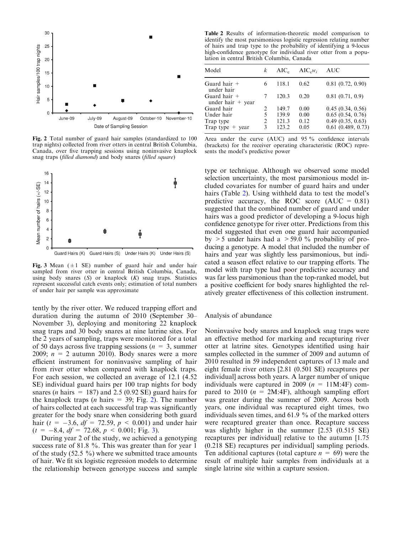<span id="page-5-0"></span>

Fig. 2 Total number of guard hair samples (standardized to 100 trap nights) collected from river otters in central British Columbia, Canada, over five trapping sessions using noninvasive knaplock snag traps (filled diamond) and body snares (filled square)



Fig. 3 Mean  $(\pm 1$  SE) number of guard hair and under hair sampled from river otter in central British Columbia, Canada, using body snares  $(S)$  or knaplock  $(K)$  snag traps. Statistics represent successful catch events only; estimation of total numbers of under hair per sample was approximate

tently by the river otter. We reduced trapping effort and duration during the autumn of 2010 (September 30– November 3), deploying and monitoring 22 knaplock snag traps and 30 body snares at nine latrine sites. For the 2 years of sampling, traps were monitored for a total of 50 days across five trapping sessions ( $n = 3$ , summer 2009;  $n = 2$  autumn 2010). Body snares were a more efficient instrument for noninvasive sampling of hair from river otter when compared with knaplock traps. For each session, we collected an average of 12.1 (4.52 SE) individual guard hairs per 100 trap nights for body snares (*n* hairs = 187) and 2.5 (0.92 SE) guard hairs for the knaplock traps (*n* hairs = 39; Fig. 2). The number of hairs collected at each successful trap was significantly greater for the body snare when considering both guard hair ( $t = -3.6$ ,  $df = 72.59$ ,  $p < 0.001$ ) and under hair  $(t = -8.4, df = 72.68, p < 0.001; Fig. 3).$ 

During year 2 of the study, we achieved a genotyping success rate of 81.8 %. This was greater than for year 1 of the study (52.5 %) where we submitted trace amounts of hair. We fit six logistic regression models to determine the relationship between genotype success and sample

Table 2 Results of information-theoretic model comparison to identify the most parsimonious logistic regression relating number of hairs and trap type to the probability of identifying a 9-locus high-confidence genotype for individual river otter from a population in central British Columbia, Canada

| Model                                 | k              | $AIC_c$ | $AIC_{c}W_i$ | <b>AUC</b>        |
|---------------------------------------|----------------|---------|--------------|-------------------|
| Guard hair $+$<br>under hair          | 6              | 118.1   | 0.62         | 0.81(0.72, 0.90)  |
| Guard hair $+$<br>under hair $+$ year |                | 120.3   | 0.20         | 0.81(0.71, 0.9)   |
| Guard hair                            | $\mathfrak{D}$ | 149.7   | 0.00         | 0.45(0.34, 0.56)  |
| Under hair                            | 5              | 139.9   | 0.00         | 0.65(0.54, 0.76)  |
| Trap type                             | 2              | 121.3   | 0.12         | 0.49(0.35, 0.63)  |
| Trap type $+$ year                    | 3              | 123.2   | 0.05         | 0.61(0.489, 0.73) |
|                                       |                |         |              |                   |

Area under the curve (AUC) and 95 % confidence intervals (brackets) for the receiver operating characteristic (ROC) represents the model's predictive power

type or technique. Although we observed some model selection uncertainty, the most parsimonious model included covariates for number of guard hairs and under hairs (Table 2). Using withheld data to test the model's predictive accuracy, the ROC score  $(AUC = 0.81)$ suggested that the combined number of guard and under hairs was a good predictor of developing a 9-locus high confidence genotype for river otter. Predictions from this model suggested that even one guard hair accompanied by  $>$  5 under hairs had a  $>$  59.0 % probability of producing a genotype. A model that included the number of hairs and year was slightly less parsimonious, but indicated a season effect relative to our trapping efforts. The model with trap type had poor predictive accuracy and was far less parsimonious than the top-ranked model, but a positive coefficient for body snares highlighted the relatively greater effectiveness of this collection instrument.

## Analysis of abundance

Noninvasive body snares and knaplock snag traps were an effective method for marking and recapturing river otter at latrine sites. Genotypes identified using hair samples collected in the summer of 2009 and autumn of 2010 resulted in 59 independent captures of 13 male and eight female river otters [2.81 (0.501 SE) recaptures per individual] across both years. A larger number of unique individuals were captured in 2009 ( $n = 11M:4F$ ) compared to 2010 ( $n = 2M:4F$ ), although sampling effort was greater during the summer of 2009. Across both years, one individual was recaptured eight times, two individuals seven times, and 61.9 % of the marked otters were recaptured greater than once. Recapture success was slightly higher in the summer [2.53 (0.515 SE) recaptures per individual] relative to the autumn [1.75 (0.218 SE) recaptures per individual] sampling periods. Ten additional captures (total capture  $n = 69$ ) were the result of multiple hair samples from individuals at a single latrine site within a capture session.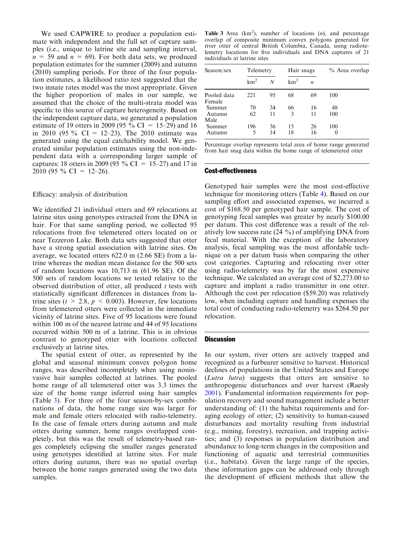We used CAPWIRE to produce a population estimate with independent and the full set of capture samples (i.e., unique to latrine site and sampling interval,  $n = 59$  and  $n = 69$ ). For both data sets, we produced population estimates for the summer (2009) and autumn (2010) sampling periods. For three of the four population estimates, a likelihood ratio test suggested that the two innate rates model was the most appropriate. Given the higher proportion of males in our sample, we assumed that the choice of the multi-strata model was specific to this source of capture heterogeneity. Based on the independent capture data, we generated a population estimate of 19 otters in 2009 (95  $\%$  CI = 15–29) and 16 in 2010 (95  $\%$  CI = 12–23). The 2010 estimate was generated using the equal catchability model. We generated similar population estimates using the non-independent data with a corresponding larger sample of captures: 18 otters in 2009 (95 % CI = 15–27) and 17 in 2010 (95 % CI = 12-26).

# Efficacy: analysis of distribution

We identified 21 individual otters and 69 relocations at latrine sites using genotypes extracted from the DNA in hair. For that same sampling period, we collected 95 relocations from five telemetered otters located on or near Tezzeron Lake. Both data sets suggested that otter have a strong spatial association with latrine sites. On average, we located otters 622.0 m (2.66 SE) from a latrine whereas the median mean distance for the 500 sets of random locations was 10,713 m (61.96 SE). Of the 500 sets of random locations we tested relative to the observed distribution of otter, all produced  $t$  tests with statistically significant differences in distances from latrine sites ( $t > 2.8$ ,  $p < 0.003$ ). However, few locations from telemetered otters were collected in the immediate vicinity of latrine sites. Five of 95 locations were found within 100 m of the nearest latrine and 44 of 95 locations occurred within 500 m of a latrine. This is in obvious contrast to genotyped otter with locations collected exclusively at latrine sites.

The spatial extent of otter, as represented by the global and seasonal minimum convex polygon home ranges, was described incompletely when using noninvasive hair samples collected at latrines. The pooled home range of all telemetered otter was 3.3 times the size of the home range inferred using hair samples (Table 3). For three of the four season-by-sex combinations of data, the home range size was larger for male and female otters relocated with radio-telemetry. In the case of female otters during autumn and male otters during summer, home ranges overlapped completely, but this was the result of telemetry-based ranges completely eclipsing the smaller ranges generated using genotypes identified at latrine sites. For male otters during autumn, there was no spatial overlap between the home ranges generated using the two data samples.

Table 3 Area  $(km^2)$ , number of locations  $(n)$ , and percentage overlap of composite minimum convex polygons generated for river otter of central British Columbia, Canada, using radiotelemetry locations for five individuals and DNA captures of 21 individuals at latrine sites

| Season/sex            | Telemetry       |    | Hair snags      |                  | % Area overlap |  |
|-----------------------|-----------------|----|-----------------|------------------|----------------|--|
|                       | km <sup>2</sup> | N  | km <sup>2</sup> | $\boldsymbol{n}$ |                |  |
| Pooled data<br>Female | 221             | 95 | 68              | 69               | 100            |  |
| Summer                | 70              | 34 | 66              | 16               | 48             |  |
| Autumn                | 62              | 11 | 3               | 11               | 100            |  |
| Male                  |                 |    |                 |                  |                |  |
| Summer                | 196             | 36 | 15              | 26               | 100            |  |
| Autumn                | 5               | 14 | 18              | 16               | $\theta$       |  |

Percentage overlap represents total area of home range generated from hair snag data within the home range of telemetered otter

## Cost-effectiveness

Genotyped hair samples were the most cost-effective technique for monitoring otters (Table [4\)](#page-7-0). Based on our sampling effort and associated expenses, we incurred a cost of \$168.50 per genotyped hair sample. The cost of genotyping fecal samples was greater by nearly \$100.00 per datum. This cost difference was a result of the relatively low success rate (24 %) of amplifying DNA from fecal material. With the exception of the laboratory analysis, fecal sampling was the most affordable technique on a per datum basis when comparing the other cost categories. Capturing and relocating river otter using radio-telemetry was by far the most expensive technique. We calculated an average cost of \$2,273.00 to capture and implant a radio transmitter in one otter. Although the cost per relocation (\$59.20) was relatively low, when including capture and handling expenses the total cost of conducting radio-telemetry was \$264.50 per relocation.

## **Discussion**

In our system, river otters are actively trapped and recognized as a furbearer sensitive to harvest. Historical declines of populations in the United States and Europe (Lutra lutra) suggests that otters are sensitive to anthropogenic disturbances and over harvest (Raesly [2001\)](#page-10-0). Fundamental information requirements for population recovery and sound management include a better understanding of: (1) the habitat requirements and foraging ecology of otter; (2) sensitivity to human-caused disturbances and mortality resulting from industrial (e.g., mining, forestry), recreation, and trapping activities; and (3) responses in population distribution and abundance to long-term changes in the composition and functioning of aquatic and terrestrial communities (i.e., habitats). Given the large range of the species, these information gaps can be addressed only through the development of efficient methods that allow the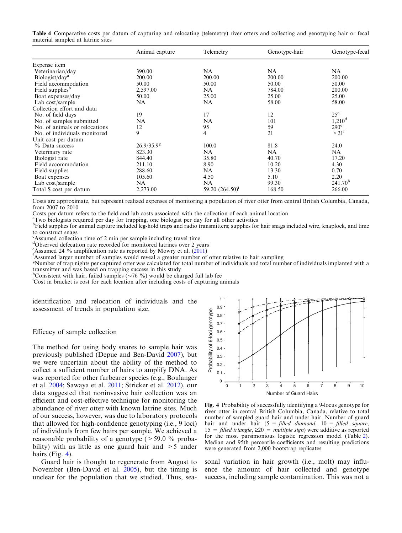<span id="page-7-0"></span>Table 4 Comparative costs per datum of capturing and relocating (telemetry) river otters and collecting and genotyping hair or fecal material sampled at latrine sites

|                               | Animal capture         | Telemetry          | Genotype-hair | Genotype-fecal      |
|-------------------------------|------------------------|--------------------|---------------|---------------------|
| Expense item                  |                        |                    |               |                     |
| Veterinarian/day              | 390.00                 | <b>NA</b>          | <b>NA</b>     | NA                  |
| Biologyist/day <sup>a</sup>   | 200.00                 | 200.00             | 200.00        | 200.00              |
| Field accommodation           | 50.00                  | 50.00              | 50.00         | 50.00               |
| Field supplies <sup>b</sup>   | 2,597.00               | NA.                | 784.00        | 200.00              |
| Boat expenses/day             | 50.00                  | 25.00              | 25.00         | 25.00               |
| Lab cost/sample               | NA                     | NA                 | 58.00         | 58.00               |
| Collection effort and data    |                        |                    |               |                     |
| No. of field days             | 19                     | 17                 | 12            | $25^{\circ}$        |
| No. of samples submitted      | NA                     | NA                 | 101           | $1,210^d$           |
| No. of animals or relocations | 12                     | 95                 | 59            | $290^\circ$         |
| No. of individuals monitored  | 9                      | 4                  | 21            | $>21^{\rm f}$       |
| Unit cost per datum           |                        |                    |               |                     |
| % Data success                | 26.9/35.9 <sup>g</sup> | 100.0              | 81.8          | 24.0                |
| Veterinary rate               | 823.30                 | NA                 | <b>NA</b>     | NA                  |
| Biologist rate                | 844.40                 | 35.80              | 40.70         | 17.20               |
| Field accommodation           | 211.10                 | 8.90               | 10.20         | 4.30                |
| Field supplies                | 288.60                 | <b>NA</b>          | 13.30         | 0.70                |
| Boat expenses                 | 105.60                 | 4.50               | 5.10          | 2.20                |
| Lab cost/sample               | NA                     | NA                 | 99.30         | 241.70 <sup>h</sup> |
| Total \$ cost per datum       | 2,273.00               | $59.20 (264.50)^1$ | 168.50        | 266.00              |

Costs are approximate, but represent realized expenses of monitoring a population of river otter from central British Columbia, Canada, from 2007 to 2010

Costs per datum refers to the field and lab costs associated with the collection of each animal location<br><sup>a</sup>Two biologists required per day for trapping, one biologist per day for all other activities

Two biologists required per day for trapping, one biologist per day for all other activities

<sup>b</sup>Field supplies for animal capture included leg-hold traps and radio transmitters; supplies for hair snags included wire, knaplock, and time to construct snags

c Assumed collection time of 2 min per sample including travel time

dObserved defecation rate recorded for monitored latrines over 2 years

<sup>e</sup> Assumed 24 % amplification rate as reported by Mowry et al. [\(2011](#page-10-0))<sup>f</sup> Assumed larger number of samples would reveal a greater number of

Assumed larger number of samples would reveal a greater number of otter relative to hair sampling

 $g_{\text{Number of trap nights}}$  respectively otter was calculated for total number of individuals and total number of individuals implanted with a transmitter and was based on trapping success in this study

<sup>h</sup>Consistent with hair, failed samples ( $\sim$ 76 %) would be charged full lab fee in heavest is cost for each location after including costs of capturing to

Cost in bracket is cost for each location after including costs of capturing animals

identification and relocation of individuals and the assessment of trends in population size.

#### Efficacy of sample collection

The method for using body snares to sample hair was previously published (Depue and Ben-David [2007\)](#page-10-0), but we were uncertain about the ability of the method to collect a sufficient number of hairs to amplify DNA. As was reported for other furbearer species (e.g., Boulanger et al. [2004](#page-10-0); Sawaya et al. [2011;](#page-11-0) Stricker et al. [2012\)](#page-11-0), our data suggested that noninvasive hair collection was an efficient and cost-effective technique for monitoring the abundance of river otter with known latrine sites. Much of our success, however, was due to laboratory protocols that allowed for high-confidence genotyping (i.e., 9 loci) of individuals from few hairs per sample. We achieved a reasonable probability of a genotype  $(>59.0\%$  probability) with as little as one guard hair and  $>5$  under hairs (Fig. 4).

Guard hair is thought to regenerate from August to November (Ben-David et al. [2005](#page-10-0)), but the timing is unclear for the population that we studied. Thus, sea-



Fig. 4 Probability of successfully identifying a 9-locus genotype for river otter in central British Columbia, Canada, relative to total number of sampled guard hair and under hair. Number of guard hair and under hair  $(5 = filled \ diamond, 10 = filled \ square,$  $15 = \text{filled triangle}, \geq 20 = \text{multiple sign}$  were additive as reported for the most parsimonious logistic regression model (Table [2\)](#page-5-0). Median and 95th percentile coefficients and resulting predictions were generated from 2,000 bootstrap replicates

sonal variation in hair growth (i.e., molt) may influence the amount of hair collected and genotype success, including sample contamination. This was not a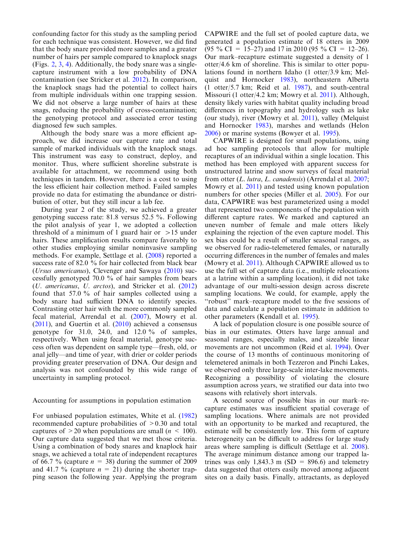confounding factor for this study as the sampling period for each technique was consistent. However, we did find that the body snare provided more samples and a greater number of hairs per sample compared to knaplock snags (Figs. [2](#page-5-0), [3,](#page-5-0) [4](#page-7-0)). Additionally, the body snare was a singlecapture instrument with a low probability of DNA contamination (see Stricker et al. [2012](#page-11-0)). In comparison, the knaplock snags had the potential to collect hairs from multiple individuals within one trapping session. We did not observe a large number of hairs at these snags, reducing the probability of cross-contamination; the genotyping protocol and associated error testing diagnosed few such samples.

Although the body snare was a more efficient approach, we did increase our capture rate and total sample of marked individuals with the knaplock snags. This instrument was easy to construct, deploy, and monitor. Thus, where sufficient shoreline substrate is available for attachment, we recommend using both techniques in tandem. However, there is a cost to using the less efficient hair collection method. Failed samples provide no data for estimating the abundance or distribution of otter, but they still incur a lab fee.

During year 2 of the study, we achieved a greater genotyping success rate: 81.8 versus 52.5 %. Following the pilot analysis of year 1, we adopted a collection threshold of a minimum of 1 guard hair or  $>15$  under hairs. These amplification results compare favorably to other studies employing similar noninvasive sampling methods. For example, Settlage et al. [\(2008\)](#page-11-0) reported a success rate of 82.0 % for hair collected from black bear (Ursus americanus), Clevenger and Sawaya ([2010](#page-10-0)) successfully genotyped 70.0 % of hair samples from bears (U. americanus, U. arctos), and Stricker et al. [\(2012\)](#page-11-0) found that 57.0 % of hair samples collected using a body snare had sufficient DNA to identify species. Contrasting otter hair with the more commonly sampled fecal material, Arrendal et al. [\(2007\)](#page-10-0), Mowry et al. ([2011\)](#page-10-0), and Guertin et al. ([2010\)](#page-10-0) achieved a consensus genotype for 31.0, 24.0, and 12.0 % of samples, respectively. When using fecal material, genotype success often was dependent on sample type—fresh, old, or anal jelly—and time of year, with drier or colder periods providing greater preservation of DNA. Our design and analysis was not confounded by this wide range of uncertainty in sampling protocol.

Accounting for assumptions in population estimation

For unbiased population estimates, White et al. [\(1982\)](#page-11-0) recommended capture probabilities of >0.30 and total captures of  $>$  20 when populations are small ( $n < 100$ ). Our capture data suggested that we met those criteria. Using a combination of body snares and knaplock hair snags, we achieved a total rate of independent recaptures of 66.7 % (capture  $n = 38$ ) during the summer of 2009 and 41.7 % (capture  $n = 21$ ) during the shorter trapping season the following year. Applying the program

CAPWIRE and the full set of pooled capture data, we generated a population estimate of 18 otters in 2009  $(95\% \text{ CI} = 15-27)$  and 17 in 2010 (95 % CI = 12-26). Our mark–recapture estimate suggested a density of 1 otter/4.6 km of shoreline. This is similar to otter populations found in northern Idaho (1 otter/3.9 km; Melquist and Hornocker [1983](#page-10-0)), northeastern Alberta (1 otter/5.7 km; Reid et al. [1987](#page-11-0)), and south-central Missouri (1 otter/4.2 km; Mowry et al. [2011](#page-10-0)). Although, density likely varies with habitat quality including broad differences in topography and hydrology such as lake (our study), river (Mowry et al. [2011\)](#page-10-0), valley (Melquist and Hornocker [1983\)](#page-10-0), marshes and wetlands (Helon [2006\)](#page-10-0) or marine systems (Bowyer et al. [1995](#page-10-0)).

CAPWIRE is designed for small populations, using ad hoc sampling protocols that allow for multiple recaptures of an individual within a single location. This method has been employed with apparent success for unstructured latrine and snow surveys of fecal material from otter (L. lutra, L. canadensis) (Arrendal et al. [2007](#page-10-0); Mowry et al. [2011](#page-10-0)) and tested using known population numbers for other species (Miller et al. [2005\)](#page-10-0). For our data, CAPWIRE was best parameterized using a model that represented two components of the population with different capture rates. We marked and captured an uneven number of female and male otters likely explaining the rejection of the even capture model. This sex bias could be a result of smaller seasonal ranges, as we observed for radio-telemetered females, or naturally occurring differences in the number of females and males (Mowry et al. [2011\)](#page-10-0). Although CAPWIRE allowed us to use the full set of capture data (i.e., multiple relocations at a latrine within a sampling location), it did not take advantage of our multi-session design across discrete sampling locations. We could, for example, apply the ''robust'' mark–recapture model to the five sessions of data and calculate a population estimate in addition to other parameters (Kendall et al. [1995\)](#page-10-0).

A lack of population closure is one possible source of bias in our estimates. Otters have large annual and seasonal ranges, especially males, and sizeable linear movements are not uncommon (Reid et al. [1994](#page-11-0)). Over the course of 13 months of continuous monitoring of telemetered animals in both Tezzeron and Pinchi Lakes, we observed only three large-scale inter-lake movements. Recognizing a possibility of violating the closure assumption across years, we stratified our data into two seasons with relatively short intervals.

A second source of possible bias in our mark–recapture estimates was insufficient spatial coverage of sampling locations. Where animals are not provided with an opportunity to be marked and recaptured, the estimate will be consistently low. This form of capture heterogeneity can be difficult to address for large study areas where sampling is difficult (Settlage et al. [2008\)](#page-11-0). The average minimum distance among our trapped latrines was only 1,843.3 m (SD = 896.6) and telemetry data suggested that otters easily moved among adjacent sites on a daily basis. Finally, attractants, as deployed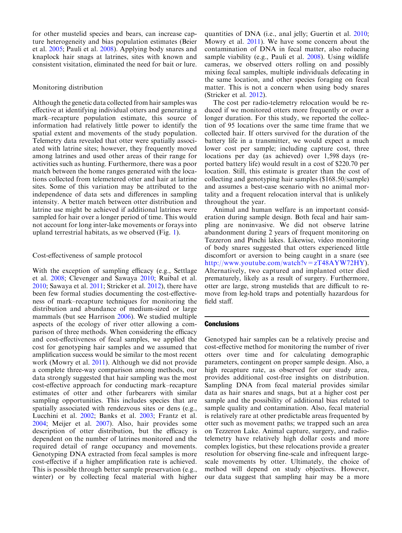for other mustelid species and bears, can increase capture heterogeneity and bias population estimates (Beier et al. [2005;](#page-10-0) Pauli et al. [2008\)](#page-10-0). Applying body snares and knaplock hair snags at latrines, sites with known and consistent visitation, eliminated the need for bait or lure.

## Monitoring distribution

Although the genetic data collected from hair samples was effective at identifying individual otters and generating a mark–recapture population estimate, this source of information had relatively little power to identify the spatial extent and movements of the study population. Telemetry data revealed that otter were spatially associated with latrine sites; however, they frequently moved among latrines and used other areas of their range for activities such as hunting. Furthermore, there was a poor match between the home ranges generated with the locations collected from telemetered otter and hair at latrine sites. Some of this variation may be attributed to the independence of data sets and differences in sampling intensity. A better match between otter distribution and latrine use might be achieved if additional latrines were sampled for hair over a longer period of time. This would not account for long inter-lake movements or forays into upland terrestrial habitats, as we observed (Fig. [1](#page-2-0)).

## Cost-effectiveness of sample protocol

With the exception of sampling efficacy (e.g., Settlage et al. [2008;](#page-11-0) Clevenger and Sawaya [2010](#page-10-0); Ruibal et al. [2010](#page-11-0); Sawaya et al. [2011](#page-11-0); Stricker et al. [2012\)](#page-11-0), there have been few formal studies documenting the cost-effectiveness of mark–recapture techniques for monitoring the distribution and abundance of medium-sized or large mammals (but see Harrison [2006](#page-10-0)). We studied multiple aspects of the ecology of river otter allowing a comparison of three methods. When considering the efficacy and cost-effectiveness of fecal samples, we applied the cost for genotyping hair samples and we assumed that amplification success would be similar to the most recent work (Mowry et al. [2011](#page-10-0)). Although we did not provide a complete three-way comparison among methods, our data strongly suggested that hair sampling was the most cost-effective approach for conducting mark–recapture estimates of otter and other furbearers with similar sampling opportunities. This includes species that are spatially associated with rendezvous sites or dens (e.g., Lucchini et al. [2002](#page-10-0); Banks et al. [2003](#page-10-0); Frantz et al. [2004](#page-10-0); Meijer et al. [2007](#page-10-0)). Also, hair provides some description of otter distribution, but the efficacy is dependent on the number of latrines monitored and the required detail of range occupancy and movements. Genotyping DNA extracted from fecal samples is more cost-effective if a higher amplification rate is achieved. This is possible through better sample preservation (e.g., winter) or by collecting fecal material with higher

quantities of DNA (i.e., anal jelly; Guertin et al. [2010](#page-10-0); Mowry et al. [2011](#page-10-0)). We have some concern about the contamination of DNA in fecal matter, also reducing sample viability (e.g., Pauli et al. [2008](#page-10-0)). Using wildlife cameras, we observed otters rolling on and possibly mixing fecal samples, multiple individuals defecating in the same location, and other species foraging on fecal matter. This is not a concern when using body snares (Stricker et al. [2012\)](#page-11-0).

The cost per radio-telemetry relocation would be reduced if we monitored otters more frequently or over a longer duration. For this study, we reported the collection of 95 locations over the same time frame that we collected hair. If otters survived for the duration of the battery life in a transmitter, we would expect a much lower cost per sample; including capture cost, three locations per day (as achieved) over 1,598 days (reported battery life) would result in a cost of \$220.70 per location. Still, this estimate is greater than the cost of collecting and genotyping hair samples (\$168.50/sample) and assumes a best-case scenario with no animal mortality and a frequent relocation interval that is unlikely throughout the year.

Animal and human welfare is an important consideration during sample design. Both fecal and hair sampling are noninvasive. We did not observe latrine abandonment during 2 years of frequent monitoring on Tezzeron and Pinchi lakes. Likewise, video monitoring of body snares suggested that otters experienced little discomfort or aversion to being caught in a snare (see [http://www.youtube.com/watch?v=zT48AYW72HY\)](http://www.youtube.com/watch?v=zT48AYW72HY). Alternatively, two captured and implanted otter died prematurely, likely as a result of surgery. Furthermore, otter are large, strong mustelids that are difficult to remove from leg-hold traps and potentially hazardous for field staff.

# **Conclusions**

Genotyped hair samples can be a relatively precise and cost-effective method for monitoring the number of river otters over time and for calculating demographic parameters, contingent on proper sample design. Also, a high recapture rate, as observed for our study area, provides additional cost-free insights on distribution. Sampling DNA from fecal material provides similar data as hair snares and snags, but at a higher cost per sample and the possibility of additional bias related to sample quality and contamination. Also, fecal material is relatively rare at other predictable areas frequented by otter such as movement paths; we trapped such an area on Tezzeron Lake. Animal capture, surgery, and radiotelemetry have relatively high dollar costs and more complex logistics, but these relocations provide a greater resolution for observing fine-scale and infrequent largescale movements by otter. Ultimately, the choice of method will depend on study objectives. However, our data suggest that sampling hair may be a more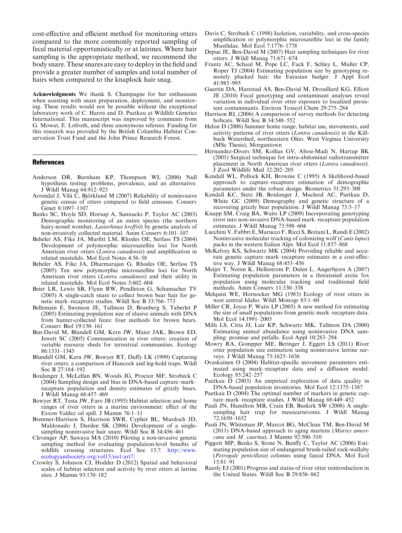<span id="page-10-0"></span>cost-effective and efficient method for monitoring otters compared to the more commonly reported sampling of fecal material opportunistically or at latrines. Where hair sampling is the appropriate method, we recommend the body snare. These snares are easy to deploy in the field and provide a greater number of samples and total number of hairs when compared to the knaplock hair snag.

Acknowledgments We thank S. Champagne for her enthusiasm when assisting with snare preparation, deployment, and monitoring. These results would not be possible without the exceptional laboratory work of C. Harris and D. Paetkau at Wildlife Genetics International. This manuscript was improved by comments from G. Mowat, E. Lofroth, and three anonymous referees. Funding for this research was provided by the British Columbia Habitat Conservation Trust Fund and the John Prince Research Forest.

#### References

- Anderson DR, Burnham KP, Thompson WL (2000) Null hypothesis testing: problems, prevalence, and an alternative. J Wildl Manag 64:912–923
- Arrendal J, Vilà  $\tilde{C}$ , Björklund M (2007) Reliability of noninvasive genetic census of otters compared to field censuses. Conserv Genet 8:1097–1107
- Banks SC, Hoyle SD, Horsup A, Sunnucks P, Taylor AC (2003) Demographic monitoring of an entire species (the northern hairy-nosed wombat, Lasiorhinus krefftii) by genetic analysis of non-invasively collected material. Anim Conserv 6:101–107
- Beheler AS, Fike JA, Murfitt LM, Rhodes OE, Serfass TS (2004) Development of polymorphic microsatellite loci for North American river otters (*Lontra canadensis*) and amplification in related mustelids. Mol Ecol Notes 4:56–58
- Beheler AS, Fike JA, Dharmarajan G, Rhodes OE, Serfass TS (2005) Ten new polymorphic microsatellite loci for North American river otters (Lontra canadensis) and their utility in related mustelids. Mol Ecol Notes 5:602–604
- Beier LR, Lewis SB, Flynn RW, Pendleton G, Schumacher TV (2005) A single-catch snare to collect brown bear hair for genetic mark–recapture studies. Wildl Soc B 33:766–773
- Bellemain E, Swenson JE, Tallmon D, Brunberg S, Taberlet P (2005) Estimating population size of elusive animals with DNA from hunter-collected feces: four methods for brown bears. Conserv Biol 19:150–161
- Ben-David M, Blundell GM, Kern JW, Maier JAK, Brown ED, Jewett SC (2005) Communication in river otters: creation of variable resource sheds for terrestrial communities. Ecology 86:1331–1345
- Blundell GM, Kern JW, Bowyer RT, Duffy LK (1999) Capturing river otters: a comparison of Hancock and leg-hold traps. Wildl Soc B 27:184–192
- Boulanger J, McLellan BN, Woods JG, Proctor MF, Strobeck C (2004) Sampling design and bias in DNA-based capture–mark– recapture population and density estimates of grizzly bears. J Wildl Manag 68:457–469
- Bowyer RT, Testa JW, Faro JB (1995) Habitat selection and home ranges of river otters in a marine environment: effect of the Exxon Valdez oil spill. J Mamm 76:1–11
- Bremner-Harrison S, Harrison SWR, Cypher BL, Murdoch JD, Maldonado J, Darden SK (2006) Development of a singlesampling noninvasive hair snare. Wildl Soc B 34:456–461
- Clevenger AP, Sawaya MA (2010) Piloting a non-invasive genetic sampling method for evaluating population-level benefits of wildlife crossing structures. Ecol Soc 15:7. [http://www.](http://www.ecologyandsociety.org/vol15/iss1/art7/) [ecologyandsociety.org/vol15/iss1/art7/](http://www.ecologyandsociety.org/vol15/iss1/art7/)
- Crowley S, Johnson CJ, Hodder D (2012) Spatial and behavioral scales of habitat selection and activity by river otters at latrine sites. J Mamm 93:170–182
- Davis C, Strobeck C (1998) Isolation, variability, and cross-species amplification or polymorphic microsatellite loci in the family Mustlidae. Mol Ecol 7:1776–1778
- Depue JE, Ben-David M (2007) Hair sampling techniques for river otters. J Wildl Manag 71:671–674
- Frantz AC, Schaul M, Pope LC, Fack F, Schley L, Muller CP, Roper TJ (2004) Estimating population size by genotyping remotely plucked hair: the Eurasian badger. J Appl Ecol 41:985–995
- Guertin DA, Harestad AS, Ben-David M, Drouillard KG, Elliott JE (2010) Fecal genotyping and contaminant analyses reveal variation in individual river otter exposure to localized persistent contaminants. Environ Toxicol Chem 29:275–284
- Harrison RL (2006) A comparison of survey methods for detecting bobcats. Wildl Soc B 34:548–552
- Helon D (2006) Summer home range, habitat use, movements, and activity patterns of river otters (Lontra canadensis) in the Killbuck Watershed, northeastern Ohio. West Virginia University (MSc Thesis), Morgantown
- Hernandez-Divers SM, Kollias GV, Abou-Madi N, Hartup BK (2001) Surgical technique for intra-abdominal radiotransmitter placement in North American river otters (Lontra canadensis). J Zool Wildlife Med 32:202–205
- Kendall WL, Pollock KH, Brownie C (1995) A likelihood-based approach to capture–recapture estimation of demographic parameters under the robust design. Biometrics 51:293–308
- Kendall KC, Stetz JB, Boulanger J, Macleod AC, Paetkau D, White GC (2009) Demography and genetic structure of a recovering grizzly bear population. J Wildl Manag 73:3–17
- Knapp SM, Craig BA, Waits LP (2009) Incorporating genotyping error into non-invasive DNA-based mark–recapture population estimates. J Wildl Manag 73:598–604
- Lucchini V, Fabbri E, Marucco F, Ricci S, Boitani L, Randi E (2002) Noninvasive molecular tracking of colonizing wolf (Canis lupus) packs in the western Italian Alps. Mol Ecol 11:857–868
- McKelvey KS, Schwartz MK (2004) Providing reliable and accurate genetic capture–mark–recapture estimates in a cost-effective way. J Wildl Manag 68:453–456
- Meijer T, Noren K, Hellestrom P, Dalen L, Angerbjorn A (2007) Estimating population parameters in a threatened arctic fox population using molecular tracking and traditional field methods. Anim Conserv 11:330–338
- Melquist WE, Hornocker MG (1983) Ecology of river otters in west central Idaho. Wildl Monogr 83:1–60
- Miller CR, Joyce P, Waits LP (2005) A new method for estimating the size of small populations from genetic mark–recapture data. Mol Ecol 14:1991–2005
- Mills LS, Citta JJ, Lair KP, Schwartz MK, Tallmon DA (2000) Estimating animal abundance using noninvasive DNA sampling: promise and pitfalls. Ecol Appl 10:283–294
- Mowry RA, Gompper ME, Beringer J, Eggert LS (2011) River otter population size estimation using noninvasive latrine surveys. J Wildl Manag 75:1625–1636
- Ovaskainen O (2004) Habitat-specific movement parameters estimated using mark–recapture data and a diffusion model. Ecology 85:242–257
- Paetkau D (2003) An empirical exploration of data quality in DNA-based population inventories. Mol Ecol 12:1375–1387
- Paetkau D (2004) The optimal number of markers in genetic capture–mark–recapture studies. J Wildl Manag 68:449–452
- Pauli JN, Hamilton MB, Crain EB, Buskirk SW (2008) A singlesampling hair trap for mesocarnivores. J Wildl Manag 72:1650–1652
- Pauli JN, Whiteman JP, Marcot BG, McClean TM, Ben-David M (2011) DNA-based approach to aging martens (Martes americana and M. caurina). J Mamm 92:500–510
- Piggott MP, Banks S, Stone N, Banffy C, Taylor AC (2006) Estimating population size of endangered brush-tailed rock-wallaby (Petrogale penicillata) colonies using faecal DNA. Mol Ecol 15:81–91
- Raesly EJ (2001) Progress and status of river otter reintroduction in the United States. Wildl Soc B 29:856–862